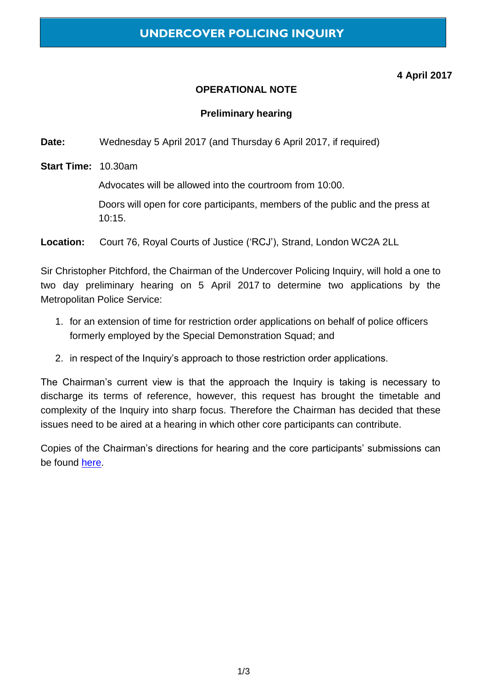# **4 April 2017**

### **OPERATIONAL NOTE**

#### **Preliminary hearing**

**Date:** Wednesday 5 April 2017 (and Thursday 6 April 2017, if required)

**Start Time:** 10.30am

Advocates will be allowed into the courtroom from 10:00.

Doors will open for core participants, members of the public and the press at 10:15.

**Location:** Court 76, Royal Courts of Justice ('RCJ'), Strand, London WC2A 2LL

Sir Christopher Pitchford, the Chairman of the Undercover Policing Inquiry, will hold a one to two day preliminary hearing on 5 April 2017 to determine two applications by the Metropolitan Police Service:

- 1. for an extension of time for restriction order applications on behalf of police officers formerly employed by the Special Demonstration Squad; and
- 2. in respect of the Inquiry's approach to those restriction order applications.

The Chairman's current view is that the approach the Inquiry is taking is necessary to discharge its terms of reference, however, this request has brought the timetable and complexity of the Inquiry into sharp focus. Therefore the Chairman has decided that these issues need to be aired at a hearing in which other core participants can contribute.

Copies of the Chairman's directions for hearing and the core participants' submissions can be found [here.](https://www.ucpi.org.uk/preliminary-issues/applications-metropolitan-police-service-special-demonstration-squad/)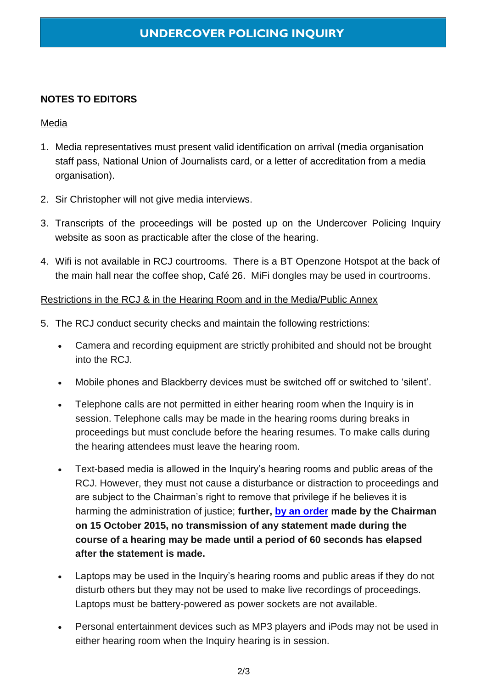# **NOTES TO EDITORS**

#### Media

- 1. Media representatives must present valid identification on arrival (media organisation staff pass, National Union of Journalists card, or a letter of accreditation from a media organisation).
- 2. Sir Christopher will not give media interviews.
- 3. Transcripts of the proceedings will be posted up on the Undercover Policing Inquiry website as soon as practicable after the close of the hearing.
- 4. Wifi is not available in RCJ courtrooms. There is a BT Openzone Hotspot at the back of the main hall near the coffee shop, Café 26. MiFi dongles may be used in courtrooms.

# Restrictions in the RCJ & in the Hearing Room and in the Media/Public Annex

- 5. The RCJ conduct security checks and maintain the following restrictions:
	- Camera and recording equipment are strictly prohibited and should not be brought into the RCJ.
	- Mobile phones and Blackberry devices must be switched off or switched to 'silent'.
	- Telephone calls are not permitted in either hearing room when the Inquiry is in session. Telephone calls may be made in the hearing rooms during breaks in proceedings but must conclude before the hearing resumes. To make calls during the hearing attendees must leave the hearing room.
	- Text-based media is allowed in the Inquiry's hearing rooms and public areas of the RCJ. However, they must not cause a disturbance or distraction to proceedings and are subject to the Chairman's right to remove that privilege if he believes it is harming the administration of justice; **further, [by an order](https://www.ucpi.org.uk/wp-content/uploads/2015/10/social-media-order.pdf) made by the Chairman on 15 October 2015, no transmission of any statement made during the course of a hearing may be made until a period of 60 seconds has elapsed after the statement is made.**
	- Laptops may be used in the Inquiry's hearing rooms and public areas if they do not disturb others but they may not be used to make live recordings of proceedings. Laptops must be battery-powered as power sockets are not available.
	- Personal entertainment devices such as MP3 players and iPods may not be used in either hearing room when the Inquiry hearing is in session.